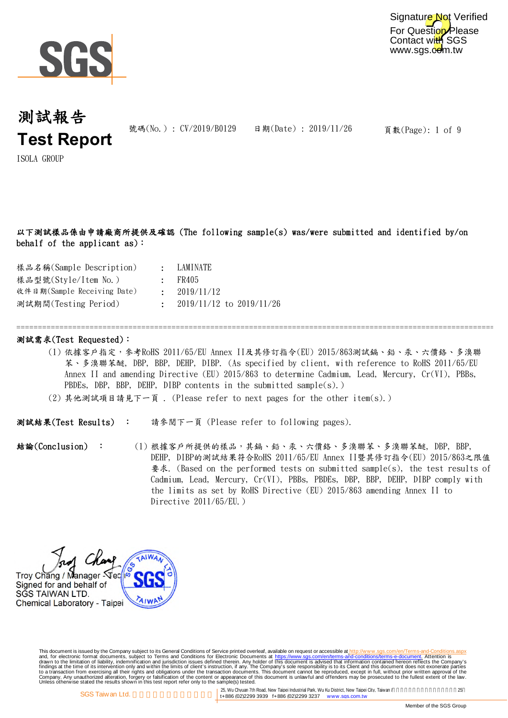

For Question Please Contact with SGS www.sgs.com.tw Signature Not Verified

## 測試報告 **Test Report**

號碼(No.): CV/2019/B0129 日期(Date): 2019/11/26

頁數(Page): 1 of 9

ISOLA GROUP

### 以下測試樣品係由申請廠商所提供及確認 (The following sample(s) was/were submitted and identified by/on behalf of the applicant as):

| $\bullet$ .<br><br><br><br><br><br><br> | LAMINATE                       |
|-----------------------------------------|--------------------------------|
|                                         | $\cdot$ FR405                  |
|                                         | $\cdot$ 2019/11/12             |
|                                         | $\pm$ 2019/11/12 to 2019/11/26 |
|                                         |                                |

### 測試需求(Test Requested):

=============================================================================================================================

- (1) 依據客戶指定,參考RoHS 2011/65/EU Annex II及其修訂指令(EU) 2015/863測試鎘、鉛、汞、六價鉻、多溴聯 苯、多溴聯苯醚, DBP, BBP, DEHP, DIBP. (As specified by client, with reference to RoHS 2011/65/EU Annex II and amending Directive (EU) 2015/863 to determine Cadmium, Lead, Mercury, Cr(VI), PBBs, PBDEs, DBP, BBP, DEHP, DIBP contents in the submitted sample(s).)
- (2) 其他測試項目請見下一頁 . (Please refer to next pages for the other item(s).)

請參閱下一頁 (Please refer to following pages). 測試結果(Test Results) :

結論(Conclusion) : (1) 根據客戶所提供的樣品,其鎘、鉛、汞、六價鉻、多溴聯苯、多溴聯苯醚, DBP, BBP, DEHP, DIBP的測試結果符合RoHS 2011/65/EU Annex II暨其修訂指令(EU) 2015/863之限值 要求. (Based on the performed tests on submitted sample(s), the test results of Cadmium, Lead, Mercury, Cr(VI), PBBs, PBDEs, DBP, BBP, DEHP, DIBP comply with the limits as set by RoHS Directive (EU) 2015/863 amending Annex II to Directive 2011/65/EU.)

Troy Chang / Manager - Vec/ Signed for and behalf of SGS TAIWAN LTD. Chemical Laboratory - Taipei

This document is issued by the Company subject to Terms and Conditions of Service printed overleaf, available on request on electronic forms. asponsible to the Seneral Conditions for Electronic Documents at https://www.sgs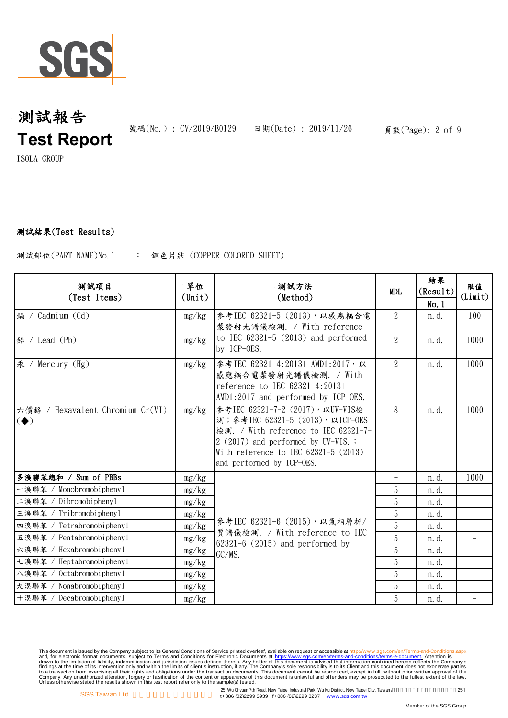

號碼(No.): CV/2019/B0129 日期(Date): 2019/11/26 頁數(Page): 2 of 9

ISOLA GROUP

### 測試結果(Test Results)

: 銅色片狀 (COPPER COLORED SHEET) 測試部位(PART NAME)No.1

| 测試項目<br>(Test Items)                                               | 單位<br>$(\text{Unit})$ | 测試方法<br>(Method)                                                                                                                                                                                                             | <b>MDL</b>     | 結果<br>(Result)<br>No.1 | 限值<br>(Limit)            |
|--------------------------------------------------------------------|-----------------------|------------------------------------------------------------------------------------------------------------------------------------------------------------------------------------------------------------------------------|----------------|------------------------|--------------------------|
| 鎘 / Cadmium (Cd)                                                   | mg/kg                 | 參考IEC 62321-5 (2013), 以感應耦合電<br>漿發射光譜儀檢測. / With reference                                                                                                                                                                   | 2              | n. d.                  | 100                      |
| 鉛 / Lead (Pb)                                                      | mg/kg                 | to IEC $62321-5$ $(2013)$ and performed<br>by ICP-OES.                                                                                                                                                                       | $\mathcal{L}$  | n. d.                  | 1000                     |
| 汞 /<br>Mercury $(Hg)$                                              | mg/kg                 | 參考IEC 62321-4:2013+ AMD1:2017, 以<br>感應耦合電漿發射光譜儀檢測. / With<br>reference to IEC 62321-4:2013+<br>AMD1:2017 and performed by ICP-OES.                                                                                           | $\overline{2}$ | n. d.                  | 1000                     |
| 六價鉻 / Hexavalent Chromium Cr(VI)<br>$\left( \blacklozenge \right)$ | mg/kg                 | 參考IEC 62321-7-2 (2017), 以UV-VIS檢<br>測; 参考IEC 62321-5 (2013), 以ICP-OES<br>檢測. / With reference to IEC 62321-7-<br>$2(2017)$ and performed by UV-VIS. ;<br>With reference to IEC $62321-5$ (2013)<br>and performed by ICP-OES. | 8              | n. d.                  | 1000                     |
| 多溴聯苯總和 / Sum of PBBs                                               | mg/kg                 |                                                                                                                                                                                                                              |                | n. d.                  | 1000                     |
| 一溴聯苯 / Monobromobiphenyl                                           | mg/kg                 |                                                                                                                                                                                                                              | 5              | n. d.                  |                          |
| 二溴聯苯 / Dibromobiphenyl                                             | mg/kg                 |                                                                                                                                                                                                                              | 5              | n.d.                   | $\overline{\phantom{a}}$ |
| 三溴聯苯 / Tribromobiphenyl                                            | mg/kg                 | 參考IEC 62321-6 (2015), 以氣相層析/<br>質譜儀檢測. / With reference to IEC<br>$62321-6$ (2015) and performed by<br>GC/MS.                                                                                                                | 5              | n. d.                  | $\overline{\phantom{0}}$ |
| Tetrabromobiphenyl<br>四溴聯苯 /                                       | mg/kg                 |                                                                                                                                                                                                                              | 5              | n. d.                  |                          |
| Pentabromobiphenyl<br>五溴聯苯 /                                       | mg/kg                 |                                                                                                                                                                                                                              | $\overline{5}$ | n. d.                  |                          |
| Hexabromobiphenyl<br>六溴聯苯                                          | mg/kg                 |                                                                                                                                                                                                                              | 5              | n. d.                  | $\qquad \qquad -$        |
| Heptabromobiphenyl<br>七溴聯苯 /                                       | mg/kg                 |                                                                                                                                                                                                                              | 5              | n. d.                  | $\overline{\phantom{0}}$ |
| Octabromobiphenyl<br>八溴聯苯 /                                        | mg/kg                 |                                                                                                                                                                                                                              | 5              | n. d.                  |                          |
| 九溴聯苯 / Nonabromobiphenyl                                           | mg/kg                 |                                                                                                                                                                                                                              | 5              | n. d.                  | $\overline{\phantom{0}}$ |
| 十溴聯苯 / Decabromobipheny1                                           | mg/kg                 |                                                                                                                                                                                                                              | 5              | n. d.                  | $\qquad \qquad -$        |

This document is issued by the Company subject to Terms and Conditions of Service printed overleaf, available on request on electronic forms. asponsible to the Seneral Conditions for Electronic Documents at https://www.sgs

25, Wu Chyuan 7th Road, New Taipei Industrial Park, Wu Ku District, New Taipei City, Taiwan / 25<br>
1998 ft ASS (02)2299 3939 ft ASS (02)2299 3237 www.sgs.com.tw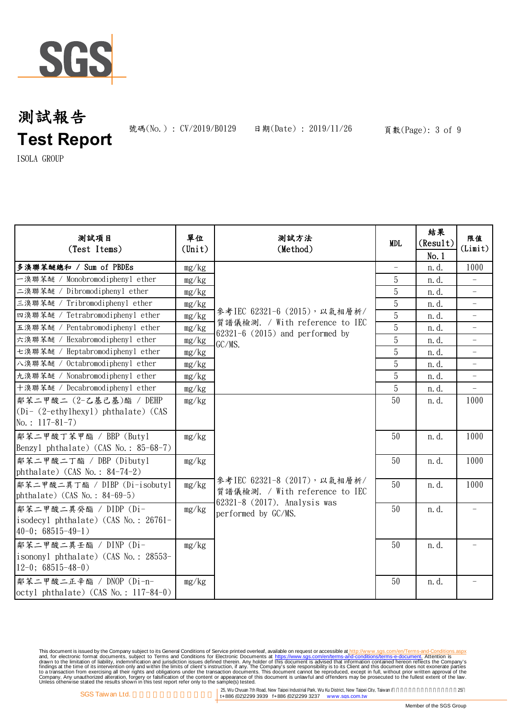

號碼(No.): CV/2019/B0129 日期(Date): 2019/11/26 頁數(Page): 3 of 9

ISOLA GROUP

| 测試項目<br>(Test Items)                                                                  | 單位<br>$(\text{Unit})$ | 測試方法<br>(Method)                                                                                                      | <b>MDL</b>                        | 結果<br>(Result)<br>No.1 | 限值<br>(Limit)            |
|---------------------------------------------------------------------------------------|-----------------------|-----------------------------------------------------------------------------------------------------------------------|-----------------------------------|------------------------|--------------------------|
| 多溴聯苯醚總和 / Sum of PBDEs                                                                | mg/kg                 |                                                                                                                       | $\hspace{0.1in} - \hspace{0.1in}$ | n.d.                   | 1000                     |
| 一溴聯苯醚 / Monobromodiphenyl ether                                                       | mg/kg                 |                                                                                                                       | 5                                 | n. d.                  |                          |
| 二溴聯苯醚 / Dibromodiphenyl ether                                                         | mg/kg                 |                                                                                                                       | 5                                 | n. d.                  |                          |
| 三溴聯苯醚 / Tribromodiphenyl ether                                                        | mg/kg                 | 參考IEC 62321-6 (2015), 以氣相層析/<br>質譜儀檢測. / With reference to IEC                                                        | 5                                 | n.d.                   | $\overline{\phantom{0}}$ |
| 四溴聯苯醚 / Tetrabromodiphenyl ether                                                      | mg/kg                 |                                                                                                                       | 5                                 | n. d.                  |                          |
| 五溴聯苯醚 / Pentabromodiphenyl ether                                                      | mg/kg                 | $62321-6$ (2015) and performed by                                                                                     | $\overline{5}$                    | n. d.                  | $\overline{\phantom{a}}$ |
| 六溴聯苯醚 / Hexabromodiphenyl ether                                                       | mg/kg                 | GC/MS.                                                                                                                | $\overline{5}$                    | n. d.                  | $\overline{\phantom{0}}$ |
| 七溴聯苯醚 / Heptabromodiphenyl ether                                                      | mg/kg                 |                                                                                                                       | 5                                 | n. d.                  |                          |
| 入溴聯苯醚 / Octabromodiphenyl ether                                                       | mg/kg                 |                                                                                                                       | 5                                 | n. d.                  | $\overline{\phantom{0}}$ |
| 九溴聯苯醚 / Nonabromodiphenyl ether                                                       | mg/kg                 |                                                                                                                       | 5                                 | n. d.                  |                          |
| 十溴聯苯醚 / Decabromodiphenyl ether                                                       | mg/kg                 |                                                                                                                       | 5                                 | n.d.                   |                          |
| 鄰苯二甲酸二 (2-乙基己基)酯 / DEHP                                                               | mg/kg                 | 參考IEC 62321-8 (2017), 以氣相層析/<br>質譜儀檢測. / With reference to IEC<br>62321-8 (2017). Analysis was<br>performed by GC/MS. | 50                                | n.d.                   | 1000                     |
| $(Di - (2-\text{ethylhexyl})$ phthalate) (CAS<br>No.: $117-81-7$ )                    |                       |                                                                                                                       |                                   |                        |                          |
| 鄰苯二甲酸丁苯甲酯 / BBP (Butyl<br>Benzyl phthalate) (CAS No.: 85-68-7)                        | mg/kg                 |                                                                                                                       | 50                                | n. d.                  | 1000                     |
| 鄰苯二甲酸二丁酯 / DBP (Dibutyl<br>phthalate) (CAS No.: $84-74-2$ )                           | mg/kg                 |                                                                                                                       | 50                                | n.d.                   | 1000                     |
| 鄰苯二甲酸二異丁酯 / DIBP (Di-isobutyl<br>phthalate) (CAS No.: $84-69-5$ )                     | mg/kg                 |                                                                                                                       | 50                                | n. d.                  | 1000                     |
| 鄰苯二甲酸二異癸酯 / DIDP (Di-<br>isodecyl phthalate) (CAS No.: 26761-<br>$40-0$ ; 68515-49-1) | mg/kg                 |                                                                                                                       | 50                                | n.d.                   |                          |
| 鄰苯二甲酸二異壬酯 / DINP (Di-<br>isononyl phthalate) (CAS No.: 28553-<br>$12-0$ ; 68515-48-0) | mg/kg                 |                                                                                                                       | 50                                | n. d.                  |                          |
| 鄰苯二甲酸二正辛酯 / DNOP (Di-n-<br>$octyl$ phthalate) (CAS No.: 117-84-0)                     | mg/kg                 |                                                                                                                       | 50                                | n.d.                   |                          |

This document is issued by the Company subject to Terms and Conditions of Service printed overleaf, available on request on electronic forms. asponsible to the Seneral Conditions for Electronic Documents at https://www.sgs

25, Wu Chyuan 7th Road, New Taipei Industrial Park, Wu Ku District, New Taipei City, Taiwan / 25<br>
125, Wu Chyuan 7th Road, New Taipei Industrial Park, Wu Ku District, New Taipei City, Taiwan / 25<br>
125, Wu Chyuan 7th Road,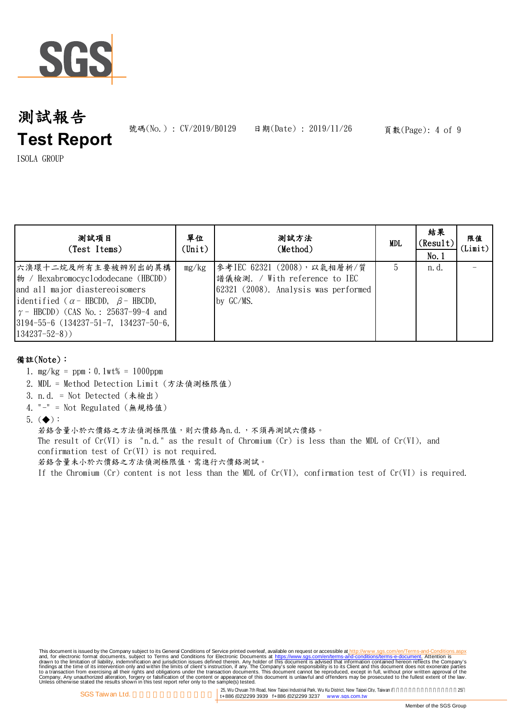

號碼(No.): CV/2019/B0129 日期(Date): 2019/11/26 頁數(Page): 4 of 9

ISOLA GROUP

| 测試項目<br>(Test Items)                                                                                                                                                                                                                                            | 單位<br>(Unit) | 測試方法<br>(Method)                                                                                                   | MDL | 結果<br>(Result)<br>No.1 | 限值<br>(Limit) |
|-----------------------------------------------------------------------------------------------------------------------------------------------------------------------------------------------------------------------------------------------------------------|--------------|--------------------------------------------------------------------------------------------------------------------|-----|------------------------|---------------|
| 六溴環十二烷及所有主要被辨別出的異構<br>物 / Hexabromocyclododecane (HBCDD)<br>and all major diastereoisomers<br>identified ( $\alpha$ - HBCDD, $\beta$ - HBCDD,<br>$\gamma$ – HBCDD) (CAS No.: 25637-99-4 and<br>$3194 - 55 - 6$ (134237-51-7, 134237-50-6,<br>$134237 - 52 - 8)$ | mg/kg        | 參考IEC 62321 (2008), 以氣相層析/質<br> 譜儀檢測. / With reference to IEC<br>62321 (2008). Analysis was performed<br>by GC/MS. | 5.  | n. d.                  |               |

### 備註(Note):

- 1. mg/kg = ppm;0.1wt% = 1000ppm
- 2. MDL = Method Detection Limit (方法偵測極限值)
- 3. n.d. = Not Detected (未檢出)
- 4. "-" = Not Regulated (無規格值)
- $5.$   $($   $\blacklozenge)$  :

若鉻含量小於六價鉻之方法偵測極限值,則六價鉻為n.d.,不須再測試六價鉻。

The result of Cr(VI) is "n.d." as the result of Chromium (Cr) is less than the MDL of Cr(VI), and confirmation test of Cr(VI) is not required.

若鉻含量未小於六價鉻之方法偵測極限值,需進行六價鉻測試。

If the Chromium (Cr) content is not less than the MDL of Cr(VI), confirmation test of Cr(VI) is required.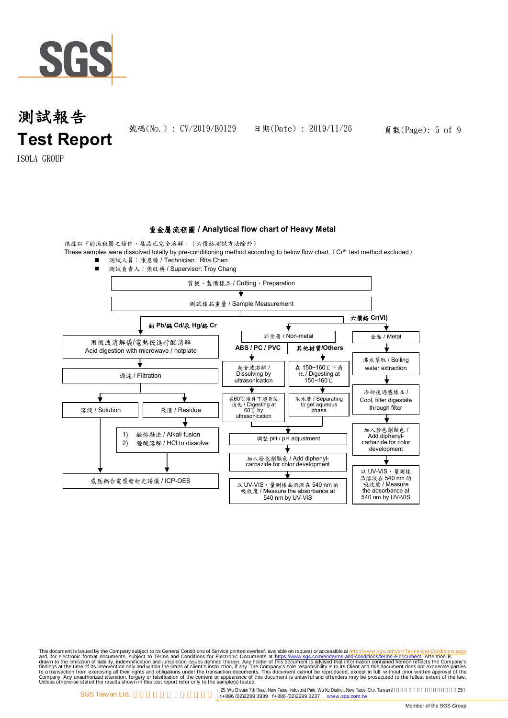

號碼(No.): CV/2019/B0129 日期(Date): 2019/11/26 頁數(Page): 5 of 9

ISOLA GROUP

#### 重金屬流程圖 **/ Analytical flow chart of Heavy Metal**

根據以下的流程圖之條件,樣品已完全溶解。(六價鉻測試方法除外)

These samples were dissolved totally by pre-conditioning method according to below flow chart. ( $Cr^{6+}$  test method excluded)





This document is issued by the Company subject to Terms and Conditions of Service printed overleaf, available on request on electronic forms. asponsible to the Seneral Conditions for Electronic Documents at https://www.sgs

25, Wu Chyuan 7th Road, New Taipei Industrial Park, Wu Ku District, New Taipei City, Taiwan /<br>14886 (02)2299 3939 f+886 (02)2299 3237 www.sgs.com.tw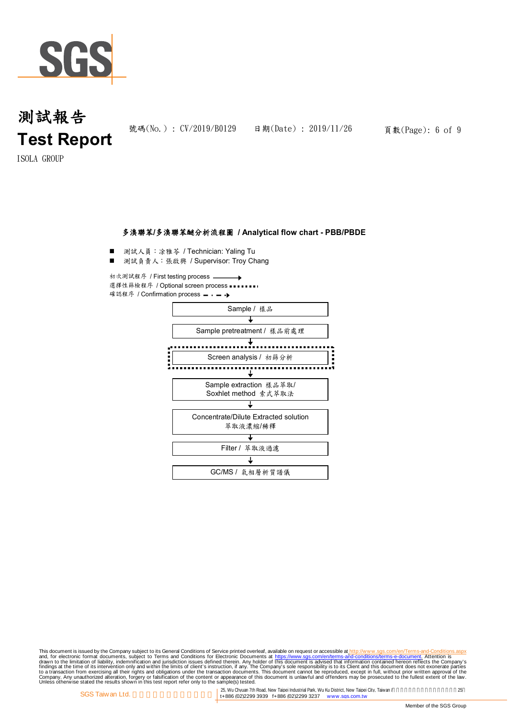

號碼(No.): CV/2019/B0129 日期(Date): 2019/11/26 頁數(Page): 6 of 9

ISOLA GROUP

#### 多溴聯苯**/**多溴聯苯醚分析流程圖 **/ Analytical flow chart - PBB/PBDE**

測試人員:凃雅苓 / Technician: Yaling Tu

■ 測試負責人:張啟興 / Supervisor: Troy Chang

初次測試程序 / First testing process 選擇性篩檢程序 / Optional screen process 確認程序 / Confirmation process = . - - b



This document is issued by the Company subject to Terms and Conditions of Service printed overleaf, available on request on electronic forms. asponsible to the Seneral Conditions for Electronic Documents at https://www.sgs

25, Wu Chyuan 7th Road, New Taipei Industrial Park, Wu Ku District, New Taipei City, Taiwan / 25<br>
1998 ft ASS (02)2299 3939 ft ASS (02)2299 3237 www.sgs.com.tw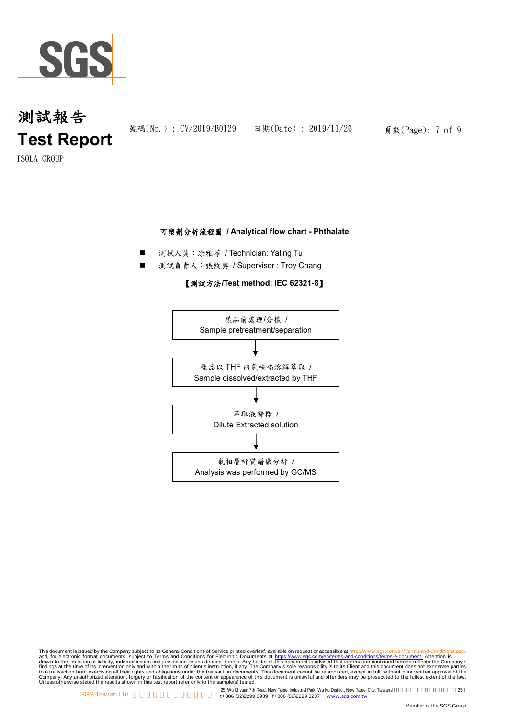

ISOLA GROUP

### 可塑劑分析流程圖 **/ Analytical flow chart - Phthalate**

- 測試人員:凃雅苓 / Technician: Yaling Tu
- 測試負責人:張啟興 / Supervisor : Troy Chang

### 【測試方法**/Test method: IEC 62321-8**】



This document is issued by the Company subject to Terms and Conditions of Service printed overleaf, available on request on electronic forms. asponsible to the Seneral Conditions for Electronic Documents at https://www.sgs

25, Wu Chyuan 7th Road, New Taipei Industrial Park, Wu Ku District, New Taipei City, Taiwan /<br>14886 (02)2299 3939 f+886 (02)2299 3237 www.sgs.com.tw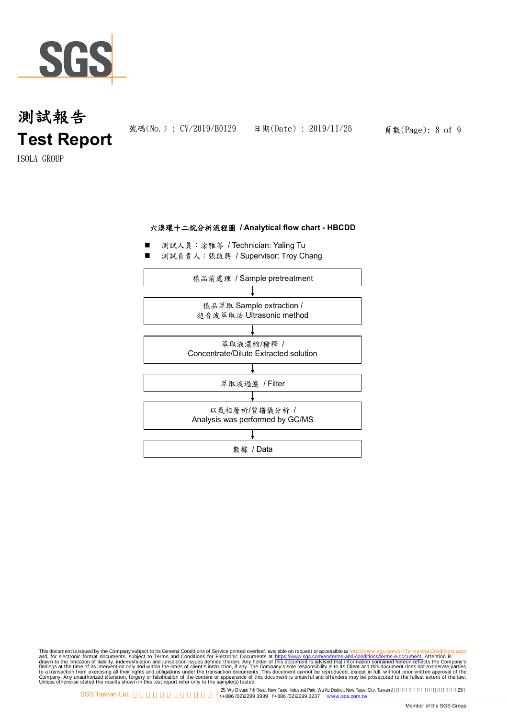

ISOLA GROUP

### 六溴環十二烷分析流程圖 **/ Analytical flow chart - HBCDD**

- 測試人員:凃雅苓 / Technician: Yaling Tu
- 測試負責人:張啟興 / Supervisor: Troy Chang



This document is issued by the Company subject to Terms and Conditions of Service printed overleaf, available on request on electronic forms. asponsible to the Seneral Conditions for Electronic Documents at https://www.sgs